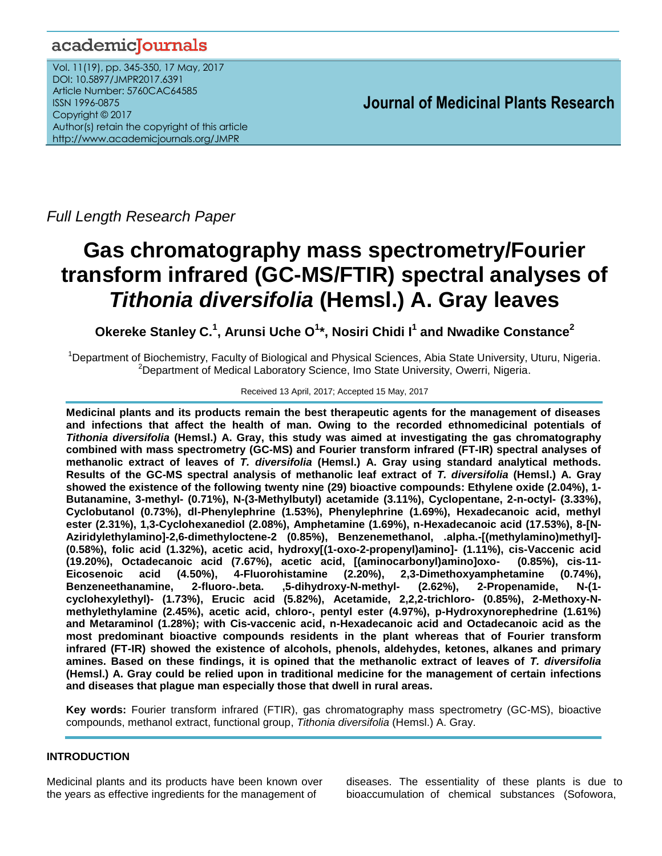## academicJournals

Vol. 11(19), pp. 345-350, 17 May, 2017 DOI: 10.5897/JMPR2017.6391 Article Number: 5760CAC64585 ISSN 1996-0875 Copyright © 2017 Author(s) retain the copyright of this article http://www.academicjournals.org/JMPR

 **Journal of Medicinal Plants Research**

*Full Length Research Paper*

# **Gas chromatography mass spectrometry/Fourier transform infrared (GC-MS/FTIR) spectral analyses of**  *Tithonia diversifolia* **(Hemsl.) A. Gray leaves**

**Okereke Stanley C. 1 , Arunsi Uche O<sup>1</sup> \*, Nosiri Chidi I<sup>1</sup> and Nwadike Constance<sup>2</sup>**

<sup>1</sup>Department of Biochemistry, Faculty of Biological and Physical Sciences, Abia State University, Uturu, Nigeria. <sup>2</sup>Department of Medical Laboratory Science, Imo State University, Owerri, Nigeria.

#### Received 13 April, 2017; Accepted 15 May, 2017

**Medicinal plants and its products remain the best therapeutic agents for the management of diseases and infections that affect the health of man. Owing to the recorded ethnomedicinal potentials of**  *Tithonia diversifolia* **(Hemsl.) A. Gray, this study was aimed at investigating the gas chromatography combined with mass spectrometry (GC-MS) and Fourier transform infrared (FT-IR) spectral analyses of methanolic extract of leaves of** *T. diversifolia* **(Hemsl.) A. Gray using standard analytical methods. Results of the GC-MS spectral analysis of methanolic leaf extract of** *T. diversifolia* **(Hemsl.) A. Gray showed the existence of the following twenty nine (29) bioactive compounds: Ethylene oxide (2.04%), 1- Butanamine, 3-methyl- (0.71%), N-(3-Methylbutyl) acetamide (3.11%), Cyclopentane, 2-n-octyl- (3.33%), Cyclobutanol (0.73%), dl-Phenylephrine (1.53%), Phenylephrine (1.69%), Hexadecanoic acid, methyl ester (2.31%), 1,3-Cyclohexanediol (2.08%), Amphetamine (1.69%), n-Hexadecanoic acid (17.53%), 8-[N-Aziridylethylamino]-2,6-dimethyloctene-2 (0.85%), Benzenemethanol, .alpha.-[(methylamino)methyl]- (0.58%), folic acid (1.32%), acetic acid, hydroxy[(1-oxo-2-propenyl)amino]- (1.11%), cis-Vaccenic acid (19.20%), Octadecanoic acid (7.67%), acetic acid, [(aminocarbonyl)amino]oxo- (0.85%), cis-11- Eicosenoic acid (4.50%), 4-Fluorohistamine (2.20%), 2,3-Dimethoxyamphetamine (0.74%), Benzeneethanamine, 2-fluoro-.beta. ,5-dihydroxy-N-methyl- (2.62%), 2-Propenamide, N-(1 cyclohexylethyl)- (1.73%), Erucic acid (5.82%), Acetamide, 2,2,2-trichloro- (0.85%), 2-Methoxy-Nmethylethylamine (2.45%), acetic acid, chloro-, pentyl ester (4.97%), p-Hydroxynorephedrine (1.61%) and Metaraminol (1.28%); with Cis-vaccenic acid, n-Hexadecanoic acid and Octadecanoic acid as the most predominant bioactive compounds residents in the plant whereas that of Fourier transform infrared (FT-IR) showed the existence of alcohols, phenols, aldehydes, ketones, alkanes and primary amines. Based on these findings, it is opined that the methanolic extract of leaves of** *T. diversifolia*  **(Hemsl.) A. Gray could be relied upon in traditional medicine for the management of certain infections and diseases that plague man especially those that dwell in rural areas.**

**Key words:** Fourier transform infrared (FTIR), gas chromatography mass spectrometry (GC-MS), bioactive compounds, methanol extract, functional group, *Tithonia diversifolia* (Hemsl.) A. Gray.

## **INTRODUCTION**

Medicinal plants and its products have been known over the years as effective ingredients for the management of

diseases. The essentiality of these plants is due to bioaccumulation of chemical substances (Sofowora,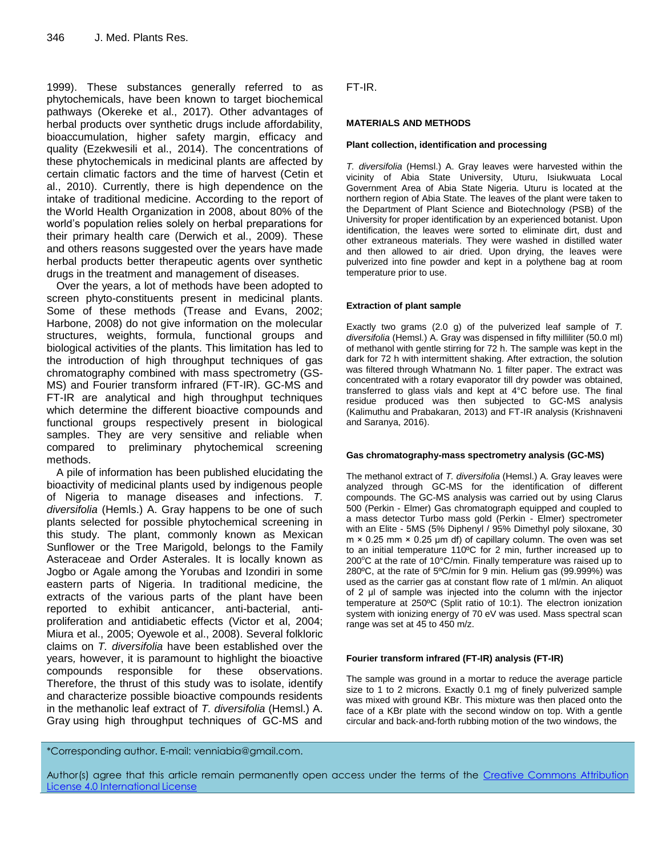1999). These substances generally referred to as phytochemicals, have been known to target biochemical pathways (Okereke et al., 2017). Other advantages of herbal products over synthetic drugs include affordability, bioaccumulation, higher safety margin, efficacy and quality (Ezekwesili et al., 2014). The concentrations of these phytochemicals in medicinal plants are affected by certain climatic factors and the time of harvest (Cetin et al., 2010). Currently, there is high dependence on the intake of traditional medicine. According to the report of the World Health Organization in 2008, about 80% of the world's population relies solely on herbal preparations for their primary health care (Derwich et al., 2009). These and others reasons suggested over the years have made herbal products better therapeutic agents over synthetic drugs in the treatment and management of diseases.

Over the years, a lot of methods have been adopted to screen phyto-constituents present in medicinal plants. Some of these methods (Trease and Evans, 2002; Harbone, 2008) do not give information on the molecular structures, weights, formula, functional groups and biological activities of the plants. This limitation has led to the introduction of high throughput techniques of gas chromatography combined with mass spectrometry (GS-MS) and Fourier transform infrared (FT-IR). GC-MS and FT-IR are analytical and high throughput techniques which determine the different bioactive compounds and functional groups respectively present in biological samples. They are very sensitive and reliable when compared to preliminary phytochemical screening methods.

A pile of information has been published elucidating the bioactivity of medicinal plants used by indigenous people of Nigeria to manage diseases and infections. *T. diversifolia* (Hemls.) A. Gray happens to be one of such plants selected for possible phytochemical screening in this study. The plant, commonly known as Mexican Sunflower or the Tree Marigold, belongs to the Family Asteraceae and Order Asterales. It is locally known as Jogbo or Agale among the Yorubas and Izondiri in some eastern parts of Nigeria. In traditional medicine, the extracts of the various parts of the plant have been reported to exhibit anticancer, anti-bacterial, antiproliferation and antidiabetic effects (Victor et al, 2004; Miura et al., 2005; Oyewole et al., 2008). Several folkloric claims on *T. diversifolia* have been established over the years*,* however, it is paramount to highlight the bioactive compounds responsible for these observations. Therefore, the thrust of this study was to isolate, identify and characterize possible bioactive compounds residents in the methanolic leaf extract of *T. diversifolia* (Hemsl.) A. Gray using high throughput techniques of GC-MS and FT-IR.

#### **MATERIALS AND METHODS**

#### **Plant collection, identification and processing**

*T. diversifolia* (Hemsl.) A. Gray leaves were harvested within the vicinity of Abia State University, Uturu, Isiukwuata Local Government Area of Abia State Nigeria. Uturu is located at the northern region of Abia State. The leaves of the plant were taken to the Department of Plant Science and Biotechnology (PSB) of the University for proper identification by an experienced botanist. Upon identification, the leaves were sorted to eliminate dirt, dust and other extraneous materials. They were washed in distilled water and then allowed to air dried. Upon drying, the leaves were pulverized into fine powder and kept in a polythene bag at room temperature prior to use.

#### **Extraction of plant sample**

Exactly two grams (2.0 g) of the pulverized leaf sample of *T. diversifolia* (Hemsl.) A. Gray was dispensed in fifty milliliter (50.0 ml) of methanol with gentle stirring for 72 h. The sample was kept in the dark for 72 h with intermittent shaking. After extraction, the solution was filtered through Whatmann No. 1 filter paper. The extract was concentrated with a rotary evaporator till dry powder was obtained, transferred to glass vials and kept at 4°C before use. The final residue produced was then subjected to GC-MS analysis (Kalimuthu and Prabakaran, 2013) and FT-IR analysis (Krishnaveni and Saranya, 2016).

#### **Gas chromatography-mass spectrometry analysis (GC-MS)**

The methanol extract of *T. diversifolia* (Hemsl.) A. Gray leaves were analyzed through GC-MS for the identification of different compounds. The GC-MS analysis was carried out by using Clarus 500 (Perkin - Elmer) Gas chromatograph equipped and coupled to a mass detector Turbo mass gold (Perkin - Elmer) spectrometer with an Elite - 5MS (5% Diphenyl / 95% Dimethyl poly siloxane, 30 m × 0.25 mm × 0.25 μm df) of capillary column. The oven was set to an initial temperature 110ºC for 2 min, further increased up to  $200^{\circ}$ C at the rate of 10 $^{\circ}$ C/min. Finally temperature was raised up to 280ºC, at the rate of 5ºC/min for 9 min. Helium gas (99.999%) was used as the carrier gas at constant flow rate of 1 ml/min. An aliquot of 2 μl of sample was injected into the column with the injector temperature at 250ºC (Split ratio of 10:1). The electron ionization system with ionizing energy of 70 eV was used. Mass spectral scan range was set at 45 to 450 m/z.

#### **Fourier transform infrared (FT-IR) analysis (FT-IR)**

The sample was ground in a mortar to reduce the average particle size to 1 to 2 microns. Exactly 0.1 mg of finely pulverized sample was mixed with ground KBr. This mixture was then placed onto the face of a KBr plate with the second window on top. With a gentle circular and back‐and‐forth rubbing motion of the two windows, the

\*Corresponding author. E-mail: venniabia@gmail.com.

Author(s) agree that this article remain permanently open access under the terms of the Creative Commons Attribution License 4.0 [International](http://creativecommons.org/licenses/by/4.0/deed.en_US) License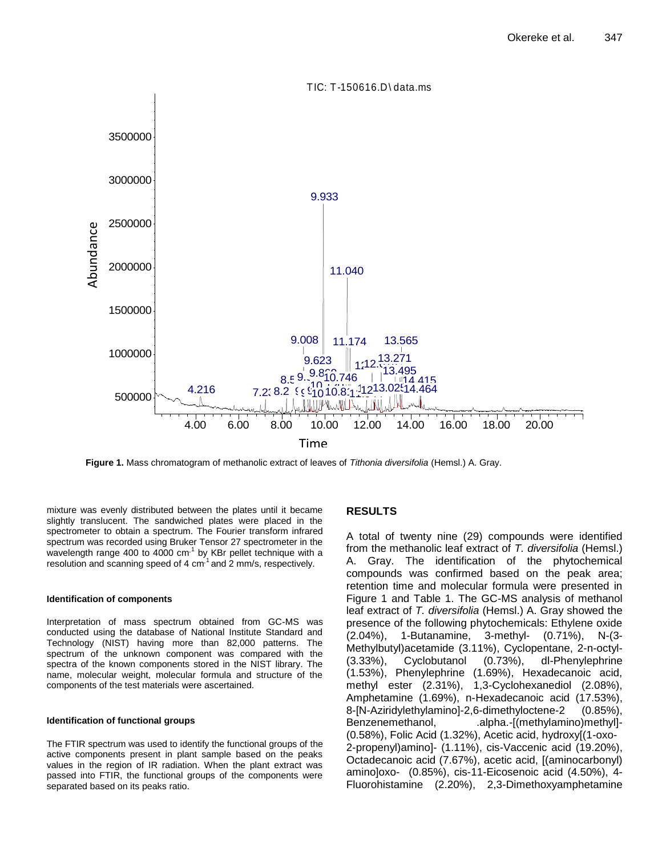

**Figure 1.** Mass chromatogram of methanolic extract of leaves of *Tithonia diversifolia* (Hemsl.) A. Gray.

mixture was evenly distributed between the plates until it became slightly translucent. The sandwiched plates were placed in the spectrometer to obtain a spectrum. The Fourier transform infrared spectrum was recorded using Bruker Tensor 27 spectrometer in the wavelength range 400 to 4000 cm<sup>-1</sup> by KBr pellet technique with a resolution and scanning speed of 4  $cm^{-1}$  and 2 mm/s, respectively.

#### **Identification of components**

Interpretation of mass spectrum obtained from GC-MS was conducted using the database of National Institute Standard and Technology (NIST) having more than 82,000 patterns. The spectrum of the unknown component was compared with the spectra of the known components stored in the NIST library. The name, molecular weight, molecular formula and structure of the components of the test materials were ascertained.

#### **Identification of functional groups**

The FTIR spectrum was used to identify the functional groups of the active components present in plant sample based on the peaks values in the region of IR radiation. When the plant extract was passed into FTIR, the functional groups of the components were separated based on its peaks ratio.

### **RESULTS**

A total of twenty nine (29) compounds were identified from the methanolic leaf extract of *T. diversifolia* (Hemsl.) A. Gray. The identification of the phytochemical compounds was confirmed based on the peak area; retention time and molecular formula were presented in Figure 1 and Table 1. The GC-MS analysis of methanol leaf extract of *T. diversifolia* (Hemsl.) A. Gray showed the presence of the following phytochemicals: Ethylene oxide (2.04%), 1-Butanamine, 3-methyl- (0.71%), N-(3- Methylbutyl)acetamide (3.11%), Cyclopentane, 2-n-octyl- (3.33%), Cyclobutanol (0.73%), dl-Phenylephrine (1.53%), Phenylephrine (1.69%), Hexadecanoic acid, methyl ester (2.31%), 1,3-Cyclohexanediol (2.08%), Amphetamine (1.69%), n-Hexadecanoic acid (17.53%), 8-[N-Aziridylethylamino]-2,6-dimethyloctene-2 (0.85%), Benzenemethanol, .alpha.-[(methylamino)methyl]- (0.58%), Folic Acid (1.32%), Acetic acid, hydroxy[(1-oxo-2-propenyl)amino]- (1.11%), cis-Vaccenic acid (19.20%), Octadecanoic acid (7.67%), acetic acid, [(aminocarbonyl) amino]oxo- (0.85%), cis-11-Eicosenoic acid (4.50%), 4- Fluorohistamine (2.20%), 2,3-Dimethoxyamphetamine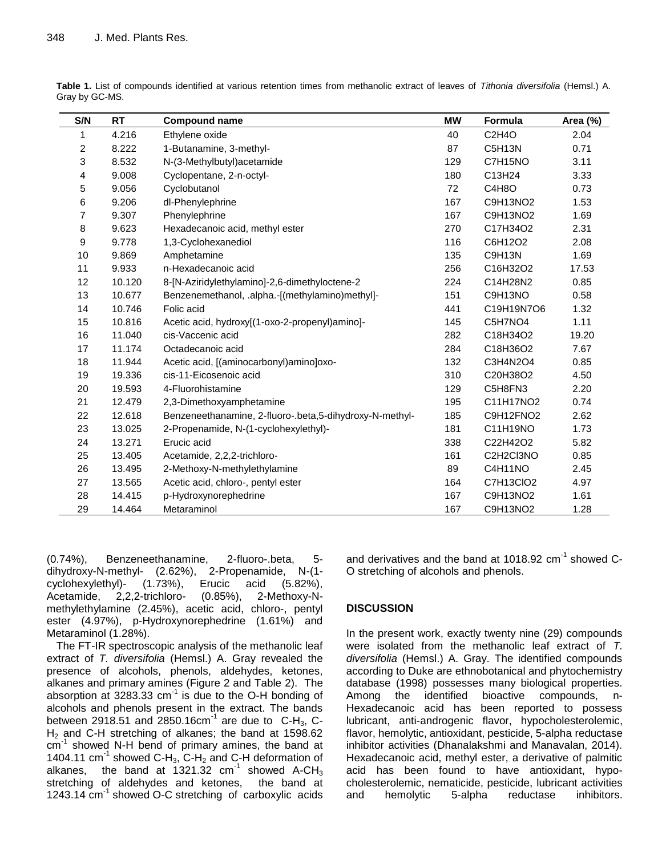| S/N              | <b>RT</b> | <b>Compound name</b>                                    | <b>MW</b> | Formula              | Area (%) |
|------------------|-----------|---------------------------------------------------------|-----------|----------------------|----------|
| $\mathbf{1}$     | 4.216     | Ethylene oxide                                          | 40        | C2H4O                | 2.04     |
| $\overline{c}$   | 8.222     | 1-Butanamine, 3-methyl-                                 | 87        | <b>C5H13N</b>        | 0.71     |
| 3                | 8.532     | N-(3-Methylbutyl) acetamide                             |           | C7H15NO              | 3.11     |
| 4                | 9.008     | Cyclopentane, 2-n-octyl-                                | 180       | C13H24               | 3.33     |
| 5                | 9.056     | Cyclobutanol                                            | 72        | C4H8O                | 0.73     |
| 6                | 9.206     | dl-Phenylephrine                                        | 167       | C9H13NO2             | 1.53     |
| $\overline{7}$   | 9.307     | Phenylephrine                                           | 167       | C9H13NO <sub>2</sub> | 1.69     |
| 8                | 9.623     | Hexadecanoic acid, methyl ester                         | 270       | C17H34O2             | 2.31     |
| $\boldsymbol{9}$ | 9.778     | 1,3-Cyclohexanediol                                     | 116       | C6H12O2              | 2.08     |
| 10               | 9.869     | Amphetamine                                             | 135       | C9H13N               | 1.69     |
| 11               | 9.933     | n-Hexadecanoic acid                                     | 256       | C16H32O2             | 17.53    |
| 12               | 10.120    | 8-[N-Aziridylethylamino]-2,6-dimethyloctene-2           | 224       | C14H28N2             | 0.85     |
| 13               | 10.677    | Benzenemethanol, .alpha.-[(methylamino)methyl]-         | 151       | C9H13NO              | 0.58     |
| 14               | 10.746    | Folic acid                                              | 441       | C19H19N7O6           | 1.32     |
| 15               | 10.816    | Acetic acid, hydroxy[(1-oxo-2-propenyl)amino]-          | 145       | C5H7NO4              | 1.11     |
| 16               | 11.040    | cis-Vaccenic acid                                       | 282       | C18H34O2             | 19.20    |
| 17               | 11.174    | Octadecanoic acid                                       | 284       | C18H36O2             | 7.67     |
| 18               | 11.944    | Acetic acid, [(aminocarbonyl)amino]oxo-                 | 132       | C3H4N2O4             | 0.85     |
| 19               | 19.336    | cis-11-Eicosenoic acid                                  | 310       | C20H38O2             | 4.50     |
| 20               | 19.593    | 4-Fluorohistamine                                       | 129       | C5H8FN3              | 2.20     |
| 21               | 12.479    | 2,3-Dimethoxyamphetamine                                | 195       | C11H17NO2            | 0.74     |
| 22               | 12.618    | Benzeneethanamine, 2-fluoro-.beta,5-dihydroxy-N-methyl- | 185       | C9H12FNO2            | 2.62     |
| 23               | 13.025    | 2-Propenamide, N-(1-cyclohexylethyl)-                   | 181       | C11H19NO             | 1.73     |
| 24               | 13.271    | Erucic acid                                             | 338       | C22H42O2             | 5.82     |
| 25               | 13.405    | Acetamide, 2,2,2-trichloro-                             | 161       | C2H2Cl3NO            | 0.85     |
| 26               | 13.495    | 2-Methoxy-N-methylethylamine                            | 89        | C4H11NO              | 2.45     |
| 27               | 13.565    | Acetic acid, chloro-, pentyl ester                      | 164       | C7H13CIO2            | 4.97     |
| 28               | 14.415    | p-Hydroxynorephedrine                                   | 167       | C9H13NO2             | 1.61     |
| 29               | 14.464    | Metaraminol                                             | 167       | C9H13NO2             | 1.28     |

**Table 1.** List of compounds identified at various retention times from methanolic extract of leaves of *Tithonia diversifolia* (Hemsl.) A. Gray by GC-MS.

(0.74%), Benzeneethanamine, 2-fluoro-.beta, 5 dihydroxy-N-methyl- (2.62%), 2-Propenamide, N-(1 cyclohexylethyl)- (1.73%), Erucic acid (5.82%), Acetamide, 2,2,2-trichloro- (0.85%), 2-Methoxy-Nmethylethylamine (2.45%), acetic acid, chloro-, pentyl ester (4.97%), p-Hydroxynorephedrine (1.61%) and Metaraminol (1.28%).

The FT-IR spectroscopic analysis of the methanolic leaf extract of *T. diversifolia* (Hemsl.) A. Gray revealed the presence of alcohols, phenols, aldehydes, ketones, alkanes and primary amines (Figure 2 and Table 2). The absorption at 3283.33  $cm^{-1}$  is due to the O-H bonding of alcohols and phenols present in the extract. The bands between 2918.51 and 2850.16cm $^{-1}$  are due to  $C-H_3$ , C- $H<sub>2</sub>$  and C-H stretching of alkanes; the band at 1598.62 cm<sup>-1</sup> showed N-H bend of primary amines, the band at 1404.11  $cm^{-1}$  showed C-H<sub>3</sub>, C-H<sub>2</sub> and C-H deformation of alkanes, the band at  $1321.32$  cm<sup>-1</sup> showed A-CH<sub>3</sub> stretching of aldehydes and ketones, the band at 1243.14 cm-1 showed O-C stretching of carboxylic acids

and derivatives and the band at 1018.92  $cm^{-1}$  showed C-O stretching of alcohols and phenols.

## **DISCUSSION**

In the present work, exactly twenty nine (29) compounds were isolated from the methanolic leaf extract of *T. diversifolia* (Hemsl.) A. Gray. The identified compounds according to Duke are ethnobotanical and phytochemistry database (1998) possesses many biological properties. Among the identified bioactive compounds, n-Hexadecanoic acid has been reported to possess lubricant, anti-androgenic flavor, hypocholesterolemic, flavor, hemolytic, antioxidant, pesticide, 5-alpha reductase inhibitor activities (Dhanalakshmi and Manavalan, 2014). Hexadecanoic acid, methyl ester, a derivative of palmitic acid has been found to have antioxidant, hypocholesterolemic, nematicide, pesticide, lubricant activities and hemolytic 5-alpha reductase inhibitors.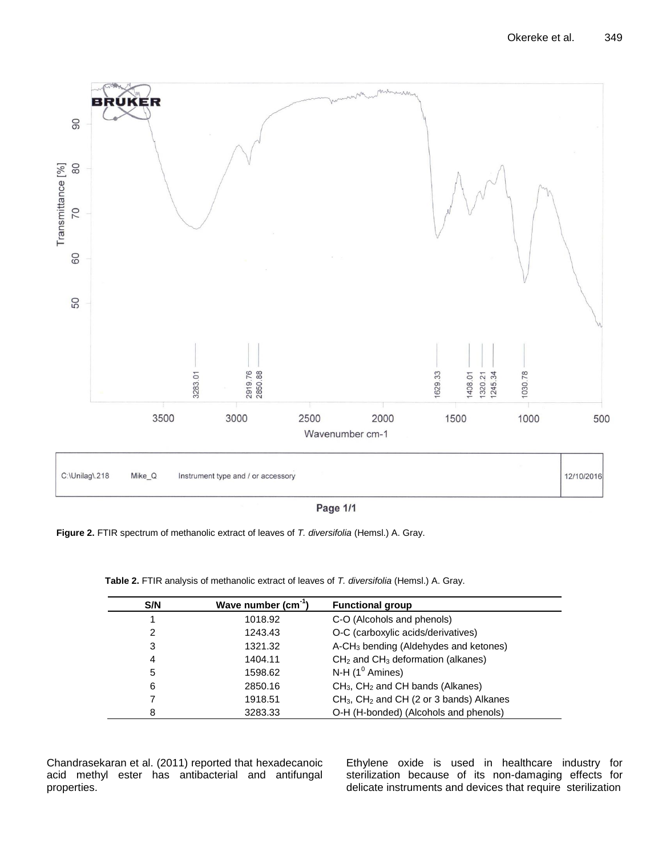

Page 1/1

**Figure 2.** FTIR spectrum of methanolic extract of leaves of *T. diversifolia* (Hemsl.) A. Gray.

| S/N | Wave number (cm <sup>-1</sup> ) | <b>Functional group</b>                           |
|-----|---------------------------------|---------------------------------------------------|
|     | 1018.92                         | C-O (Alcohols and phenols)                        |
| 2   | 1243.43                         | O-C (carboxylic acids/derivatives)                |
| 3   | 1321.32                         | A-CH <sub>3</sub> bending (Aldehydes and ketones) |
| 4   | 1404.11                         | $CH2$ and $CH3$ deformation (alkanes)             |
| 5   | 1598.62                         | N-H $(1^0$ Amines)                                |
| 6   | 2850.16                         | $CH3$ , CH <sub>2</sub> and CH bands (Alkanes)    |
|     | 1918.51                         | $CH3$ , $CH2$ and CH (2 or 3 bands) Alkanes       |
| 8   | 3283.33                         | O-H (H-bonded) (Alcohols and phenols)             |

**Table 2.** FTIR analysis of methanolic extract of leaves of *T. diversifolia* (Hemsl.) A. Gray.

Chandrasekaran et al. (2011) reported that hexadecanoic acid methyl ester has antibacterial and antifungal properties.

Ethylene oxide is used in healthcare industry for sterilization because of its non-damaging effects for delicate instruments and devices that require sterilization